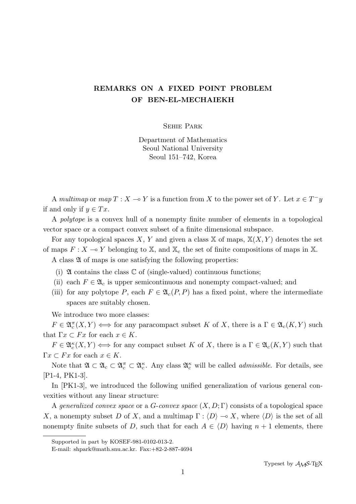## **REMARKS ON A FIXED POINT PROBLEM OF BEN-EL-MECHAIEKH**

Sehie Park

Department of Mathematics Seoul National University Seoul 151–742, Korea

A *multimap* or  $map T : X \to Y$  is a function from X to the power set of Y. Let  $x \in T^{-}y$ if and only if  $y \in Tx$ .

A *polytope* is a convex hull of a nonempty finite number of elements in a topological vector space or a compact convex subset of a finite dimensional subspace.

For any topological spaces *X*, *Y* and given a class  $\mathbb{X}$  of maps,  $\mathbb{X}(X, Y)$  denotes the set of maps  $F: X \to Y$  belonging to X, and  $X_c$  the set of finite compositions of maps in X.

A class  $\mathfrak A$  of maps is one satisfying the following properties:

- (i)  $\mathfrak A$  contains the class  $\mathbb C$  of (single-valued) continuous functions;
- (ii) each  $F \in \mathfrak{A}_c$  is upper semicontinuous and nonempty compact-valued; and
- (iii) for any polytope *P*, each  $F \in \mathfrak{A}_c(P, P)$  has a fixed point, where the intermediate spaces are suitably chosen.

We introduce two more classes:

 $F \in \mathfrak{A}_{c}^{\pi}(X, Y) \iff \text{for any paracompact subset } K \text{ of } X, \text{ there is a } \Gamma \in \mathfrak{A}_{c}(K, Y) \text{ such that } F \in \mathfrak{A}_{c}(K, Y) \iff \text{for any paracompact subset } K \text{ of } K.$ that  $\Gamma x \subset F x$  for each  $x \in K$ .

 $F \in \mathfrak{A}_c^{\kappa}(X, Y) \iff \text{for any compact subset } K \text{ of } X, \text{ there is a } \Gamma \in \mathfrak{A}_c(K, Y) \text{ such that }$  $\Gamma x \subset F x$  for each  $x \in K$ .

Note that  $\mathfrak{A} \subset \mathfrak{A}_c \subset \mathfrak{A}_c^{\pi} \subset \mathfrak{A}_c^{\kappa}$ . Any class  $\mathfrak{A}_c^{\kappa}$  will be called *admissible*. For details, see [P1-4, PK1-3].

In [PK1-3], we introduced the following unified generalization of various general convexities without any linear structure:

A *generalized convex space* or a *G*-*convex space* (*X, D*; Γ) consists of a topological space *X*, a nonempty subset *D* of *X*, and a multimap  $\Gamma : \langle D \rangle \to X$ , where  $\langle D \rangle$  is the set of all nonempty finite subsets of *D*, such that for each  $A \in \langle D \rangle$  having  $n + 1$  elements, there

Supported in part by KOSEF-981-0102-013-2.

E-mail: shpark@math.snu.ac.kr. Fax:+82-2-887-4694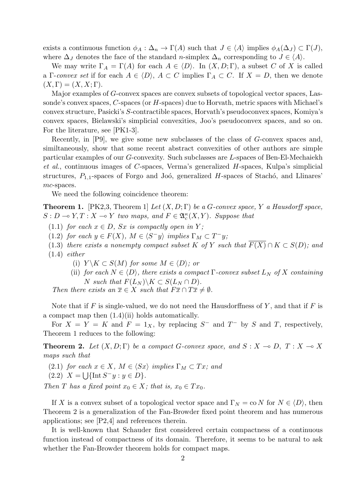exists a continuous function  $\phi_A : \Delta_n \to \Gamma(A)$  such that  $J \in \langle A \rangle$  implies  $\phi_A(\Delta_J) \subset \Gamma(J)$ , where  $\Delta_J$  denotes the face of the standard *n*-simplex  $\Delta_n$  corresponding to  $J \in \langle A \rangle$ .

We may write  $\Gamma_A = \Gamma(A)$  for each  $A \in \langle D \rangle$ . In  $(X, D; \Gamma)$ , a subset *C* of *X* is called a Γ-*convex set* if for each  $A \in \langle D \rangle$ ,  $A \subset C$  implies  $\Gamma_A \subset C$ . If  $X = D$ , then we denote  $(X, \Gamma) = (X, X; \Gamma).$ 

Major examples of *G*-convex spaces are convex subsets of topological vector spaces, Lassonde's convex spaces, *C*-spaces (or *H*-spaces) due to Horvath, metric spaces with Michael's convex structure, Pasicki's *S*-contractible spaces, Horvath's pseudoconvex spaces, Komiya's convex spaces, Bielawski's simplicial convexities, Joo's pseudoconvex spaces, and so on. For the literature, see [PK1-3].

Recently, in [P9], we give some new subclasses of the class of *G*-convex spaces and, similtaneously, show that some recent abstract convexities of other authors are simple particular examples of our *G*-convexity. Such subclasses are *L*-spaces of Ben-El-Mechaiekh *et al.*, continuous images of *C*-spaces, Verma's generalized *H*-spaces, Kulpa's simplicial structures,  $P_{1,1}$ -spaces of Forgo and Joó, generalized  $H$ -spaces of Stachó, and Llinares' *mc*-spaces.

We need the following coincidence theorem:

**Theorem 1.** [PK2,3, Theorem 1] *Let* (*X, D*; Γ) *be a G-convex space, Y a Hausdorff space,*  $S: D \to Y, T: X \to Y$  *two maps, and*  $F \in \mathfrak{A}_{c}^{\kappa}(X, Y)$ *. Suppose that* 

 $(1.1)$  *for each*  $x \in D$ *, Sx is compactly open in Y;* 

- (1.2) *for each*  $y \in F(X)$ *,*  $M \in \langle S^-y \rangle$  *implies*  $\Gamma_M \subset T^-y$ *;*
- (1.3) *there exists a nonempty compact subset*  $K$  *of*  $Y$  *such that*  $\overline{F(X)} \cap K \subset S(D)$ *; and* (1.4) *either*
	- (i)  $Y \setminus K \subset S(M)$  *for some*  $M \in \langle D \rangle$ *; or*
	- (ii) *for each*  $N \in \langle D \rangle$ *, there exists a compact*  $\Gamma$ *-convex subset*  $L_N$  *of*  $X$  *containing*  $N$  *such that*  $F(L_N) \backslash K \subset S(L_N \cap D)$ *.*

*Then there exists an*  $\overline{x} \in X$  *such that*  $F\overline{x} \cap T\overline{x} \neq \emptyset$ *.* 

Note that if *F* is single-valued, we do not need the Hausdorffness of *Y* , and that if *F* is a compact map then (1.4)(ii) holds automatically.

For  $X = Y = K$  and  $F = 1_X$ , by replacing  $S^-$  and  $T^-$  by  $S$  and  $T$ , respectively, Theorem 1 reduces to the following:

**Theorem 2.** Let  $(X, D; \Gamma)$  be a compact *G*-convex space, and  $S: X \to D, T: X \to X$ *maps such that*

- $(2.1)$  *for each*  $x \in X$ *,*  $M \in \langle Sx \rangle$  *implies*  $\Gamma_M \subset Tx$ *; and*
- $(2.2)$   $X = \bigcup \{ \text{Int } S^{-}y : y \in D \}.$

*Then T has a fixed point*  $x_0 \in X$ *; that is,*  $x_0 \in Tx_0$ .

If *X* is a convex subset of a topological vector space and  $\Gamma_N = \text{co } N$  for  $N \in \langle D \rangle$ , then Theorem 2 is a generalization of the Fan-Browder fixed point theorem and has numerous applications; see [P2,4] and references therein.

It is well-known that Schauder first considered certain compactness of a continuous function instead of compactness of its domain. Therefore, it seems to be natural to ask whether the Fan-Browder theorem holds for compact maps.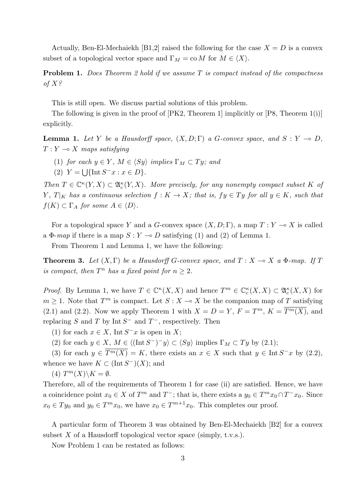Actually, Ben-El-Mechaiekh [B1,2] raised the following for the case  $X = D$  is a convex subset of a topological vector space and  $\Gamma_M = \text{co } M$  for  $M \in \langle X \rangle$ .

**Problem 1.** *Does Theorem 2 hold if we assume T is compact instead of the compactness of X?*

This is still open. We discuss partial solutions of this problem.

The following is given in the proof of [PK2, Theorem 1] implicitly or [P8, Theorem 1(i)] explicitly.

**Lemma 1.** *Let Y be a Hausdorff space,*  $(X, D; \Gamma)$  *a G*-convex space, and  $S: Y \to D$ ,  $T: Y \rightarrow X$  *maps satisfying* 

- (1) *for each*  $y \in Y$ *,*  $M \in \langle Sy \rangle$  *implies*  $\Gamma_M \subset Ty$ *; and*
- $(Y = \bigcup \{ \text{Int } S^{-}x : x \in D \}.$

*Then*  $T \in \mathbb{C}^{\kappa}(Y, X) \subset \mathfrak{A}_{c}^{\kappa}(Y, X)$ . More precisely, for any nonempty compact subset K of *Y*,  $T|_K$  *has a continuous selection*  $f: K \to X$ ; that is,  $f y \in T y$  *for all*  $y \in K$ *, such that*  $f(K) \subset \Gamma_A$  *for some*  $A \in \langle D \rangle$ *.* 

For a topological space *Y* and a *G*-convex space  $(X, D; \Gamma)$ , a map  $T: Y \to X$  is called a  $\Phi$ -*map* if there is a map  $S: Y \to D$  satisfying (1) and (2) of Lemma 1.

From Theorem 1 and Lemma 1, we have the following:

**Theorem 3.** Let  $(X, \Gamma)$  be a Hausdorff *G*-convex space, and  $T : X \to X$  a  $\Phi$ -map. If  $T$ *is compact, then*  $T^n$  *has a fixed point for*  $n \geq 2$ *.* 

*Proof.* By Lemma 1, we have  $T \in \mathbb{C}^{\kappa}(X, X)$  and hence  $T^m \in \mathbb{C}^{\kappa}_c(X, X) \subset \mathfrak{A}^{\kappa}_c(X, X)$  for  $m \geq 1$ . Note that  $T^m$  is compact. Let  $S: X \to X$  be the companion map of *T* satisfying (2.1) and (2.2). Now we apply Theorem 1 with  $X = D = Y$ ,  $F = T^m$ ,  $K = \overline{T^m(X)}$ , and replacing *S* and *T* by Int  $S^-$  and  $T^-$ , respectively. Then

(1) for each  $x \in X$ , Int  $S^-x$  is open in *X*;

(2) for each  $y \in X$ ,  $M \in \langle (\text{Int } S^-)^\perp y \rangle \subset \langle Sy \rangle$  implies  $\Gamma_M \subset Ty$  by (2.1);

(3) for each  $y \in \overline{T^m(X)} = K$ , there exists an  $x \in X$  such that  $y \in \text{Int } S^{-}x$  by (2.2), whence we have  $K \subset (\text{Int } S^-)(X)$ ; and

 $(4)$   $T^m(X)\backslash K = \emptyset$ .

Therefore, all of the requirements of Theorem 1 for case (ii) are satisfied. Hence, we have a coincidence point  $x_0 \in X$  of  $T^m$  and  $T^-$ ; that is, there exists a  $y_0 \in T^m x_0 \cap T^- x_0$ . Since  $x_0 \in Ty_0$  and  $y_0 \in T^m x_0$ , we have  $x_0 \in T^{m+1} x_0$ . This completes our proof.

A particular form of Theorem 3 was obtained by Ben-El-Mechaiekh [B2] for a convex subset X of a Hausdorff topological vector space (simply, t.v.s.).

Now Problem 1 can be restated as follows: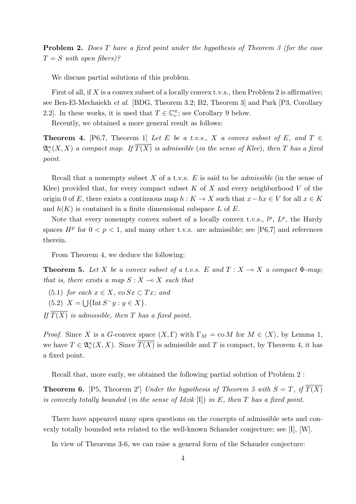**Problem 2.** *Does T have a fixed point under the hypothesis of Theorem 3 (for the case*  $T = S$  *with open fibers*)?

We discuss partial solutions of this problem.

First of all, if X is a convex subset of a locally convex t.v.s., then Problem 2 is affirmative; see Ben-El-Mechaiekh *et al*. [BDG, Theorem 3.2; B2, Theorem 3] and Park [P3, Corollary 2.2]. In these works, it is used that  $T \in \mathbb{C}_c^{\pi}$ ; see Corollary 9 below.

Recently, we obtained a more general result as follows:

**Theorem 4.** [P6,7, Theorem 1] *Let E be a t.v.s., X a convex subset of E, and*  $T \in$  $\mathfrak{A}^\kappa_c(X,X)$  *a compact map. If*  $\overline{T(X)}$  *is admissible (in the sense of Klee), then*  $T$  *has a fixed point.*

Recall that a nonempty subset *X* of a t.v.s. *E* is said to be *admissible* (in the sense of Klee) provided that, for every compact subset *K* of *X* and every neighborhood *V* of the origin 0 of *E*, there exists a continuous map  $h: K \to X$  such that  $x - hx \in V$  for all  $x \in K$ and *h*(*K*) is contained in a finite dimensional subspace *L* of *E*.

Note that every nonempty convex subset of a locally convex t.v.s.,  $l^p$ ,  $L^p$ , the Hardy spaces  $H^p$  for  $0 < p < 1$ , and many other t.v.s. are admissible; see [P6,7] and references therein.

From Theorem 4, we deduce the following:

**Theorem 5.** Let X be a convex subset of a t.v.s. E and  $T: X \rightarrow X$  a compact  $\Phi$ -map; *that is, there exists a map*  $S: X \rightarrow X$  *such that* 

- (5.1) *for each*  $x \in X$ *, co*  $Sx \subset Tx$ *; and*
- $(5.2)$   $X = \bigcup \{ \text{Int } S^{-}y : y \in X \}.$

*If*  $\overline{T(X)}$  *is admissible, then T has a fixed point.* 

*Proof.* Since *X* is a *G*-convex space  $(X, \Gamma)$  with  $\Gamma_M = \text{co } M$  for  $M \in \langle X \rangle$ , by Lemma 1, we have  $T \in \mathfrak{A}_{c}^{\kappa}(X,X)$ . Since  $\overline{T(X)}$  is admissible and *T* is compact, by Theorem 4, it has a fixed point.

Recall that, more early, we obtained the following partial solution of Problem 2 :

**Theorem 6.** [P5, Theorem 2'] *Under the hypothesis of Theorem 5 with*  $S = T$ , *if*  $\overline{T(X)}$ *is convexly totally bounded* (*in the sense of Idzik* [I]) *in E, then T has a fixed point.*

There have appeared many open questions on the concepts of admissible sets and convexly totally bounded sets related to the well-known Schauder conjecture; see [I], [W].

In view of Theorems 3-6, we can raise a general form of the Schauder conjecture: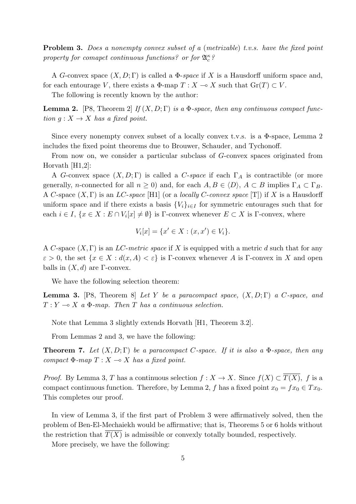**Problem 3.** *Does a nonempty convex subset of a* (*metrizable*) *t.v.s. have the fixed point property for comapct continuous functions? or for*  $\mathfrak{A}_{c}^{\kappa}$ ?

A *G*-convex space  $(X, D; \Gamma)$  is called a  $\Phi$ -*space* if X is a Hausdorff uniform space and, for each entourage *V*, there exists a  $\Phi$ -map  $T : X \to X$  such that  $\text{Gr}(T) \subset V$ .

The following is recently known by the author:

**Lemma 2.** [P8, Theorem 2] If  $(X, D; \Gamma)$  *is a*  $\Phi$ *-space, then any continuous compact function*  $q: X \to X$  *has a fixed point.* 

Since every nonempty convex subset of a locally convex t.v.s. is a  $\Phi$ -space, Lemma 2 includes the fixed point theorems due to Brouwer, Schauder, and Tychonoff.

From now on, we consider a particular subclass of *G*-convex spaces originated from Horvath [H1,2]:

A *G*-convex space (*X, D*; Γ) is called a *C*-*space* if each Γ*<sup>A</sup>* is contractible (or more generally, *n*-connected for all  $n \geq 0$ ) and, for each  $A, B \in \langle D \rangle$ ,  $A \subset B$  implies  $\Gamma_A \subset \Gamma_B$ . A *C*-space (*X,* Γ) is an *LC*-*space* [H1] (or a *locally C*-*convex space* [T]) if *X* is a Hausdorff uniform space and if there exists a basis  ${V_i}_{i \in I}$  for symmetric entourages such that for each  $i \in I$ ,  $\{x \in X : E \cap V_i[x] \neq \emptyset\}$  is  $\Gamma$ -convex whenever  $E \subset X$  is  $\Gamma$ -convex, where

$$
V_i[x] = \{x' \in X : (x, x') \in V_i\}.
$$

A *C*-space (*X,* Γ) is an *LC*-*metric space* if *X* is equipped with a metric *d* such that for any  $\varepsilon > 0$ , the set  $\{x \in X : d(x, A) < \varepsilon\}$  is Γ-convex whenever *A* is Γ-convex in *X* and open balls in  $(X, d)$  are  $\Gamma$ -convex.

We have the following selection theorem:

**Lemma 3.** [P8, Theorem 8] *Let Y be a paracompact space,* (*X, D*; Γ) *a C-space, and*  $T: Y \rightarrow X$  *a*  $\Phi$ *-map. Then T has a continuous selection.* 

Note that Lemma 3 slightly extends Horvath [H1, Theorem 3.2].

From Lemmas 2 and 3, we have the following:

**Theorem 7.** *Let* (*X, D*; Γ) *be a paracompact C-space. If it is also a* Φ*-space, then any compact*  $\Phi$ *-map*  $T: X \to X$  *has a fixed point.* 

*Proof.* By Lemma 3, *T* has a continuous selection  $f: X \to X$ . Since  $f(X) \subset \overline{T(X)}$ , *f* is a compact continuous function. Therefore, by Lemma 2, *f* has a fixed point  $x_0 = fx_0 \in Tx_0$ . This completes our proof.

In view of Lemma 3, if the first part of Problem 3 were affirmatively solved, then the problem of Ben-El-Mechaiekh would be affirmative; that is, Theorems 5 or 6 holds without the restriction that  $T(X)$  is admissible or convexly totally bounded, respectively.

More precisely, we have the following: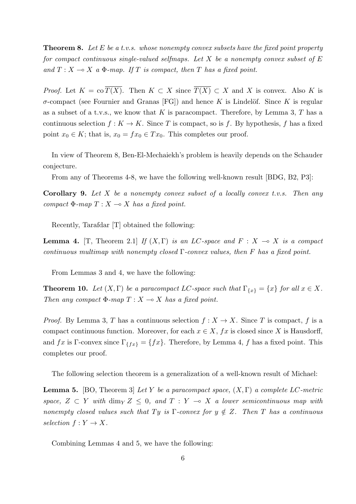**Theorem 8.** *Let E be a t.v.s. whose nonempty convex subsets have the fixed point property for compact continuous single-valued selfmaps. Let X be a nonempty convex subset of E and*  $T: X \to X$  *a*  $\Phi$ *-map.* If  $T$  *is compact, then*  $T$  *has a fixed point.* 

*Proof.* Let  $K = \text{co }\overline{T(X)}$ . Then  $K \subset X$  since  $\overline{T(X)} \subset X$  and X is convex. Also K is  $\sigma$ -compact (see Fournier and Granas [FG]) and hence *K* is Lindelöf. Since *K* is regular as a subset of a t.v.s., we know that *K* is paracompact. Therefore, by Lemma 3, *T* has a continuous selection  $f: K \to K$ . Since *T* is compact, so is *f*. By hypothesis, *f* has a fixed point  $x_0 \in K$ ; that is,  $x_0 = fx_0 \in Tx_0$ . This completes our proof.

In view of Theorem 8, Ben-El-Mechaiekh's problem is heavily depends on the Schauder conjecture.

From any of Theorems 4-8, we have the following well-known result [BDG, B2, P3]:

**Corollary 9.** *Let X be a nonempty convex subset of a locally convex t.v.s. Then any compact*  $\Phi$ *-map*  $T: X \to X$  *has a fixed point.* 

Recently, Tarafdar [T] obtained the following:

**Lemma 4.** [T, Theorem 2.1] *If*  $(X, \Gamma)$  *is an LC-space and*  $F: X \rightarrow X$  *is a compact continuous multimap with nonempty closed* Γ*-convex values, then F has a fixed point.*

From Lemmas 3 and 4, we have the following:

**Theorem 10.** *Let*  $(X, \Gamma)$  *be a paracompact LC-space such that*  $\Gamma_{\{x\}} = \{x\}$  *for all*  $x \in X$ *. Then any compact*  $\Phi$ *-map*  $T: X \rightarrow X$  *has a fixed point.* 

*Proof.* By Lemma 3, *T* has a continuous selection  $f: X \to X$ . Since *T* is compact, *f* is a compact continuous function. Moreover, for each  $x \in X$ ,  $fx$  is closed since X is Hausdorff, and *fx* is Γ-convex since  $\Gamma_{\{fx\}} = \{fx\}$ . Therefore, by Lemma 4, *f* has a fixed point. This completes our proof.

The following selection theorem is a generalization of a well-known result of Michael:

**Lemma 5.** [BO, Theorem 3] *Let Y be a paracompact space,* (*X,* Γ) *a complete LC-metric space,*  $Z \subset Y$  *with* dim<sub>Y</sub>  $Z \leq 0$ *, and*  $T : Y \to X$  *a lower semicontinuous map with nonempty closed values such that*  $Ty$  *is*  $\Gamma$ -*convex for*  $y \notin Z$ *. Then*  $T$  *has a continuous*  $selection f: Y \rightarrow X$ *.* 

Combining Lemmas 4 and 5, we have the following: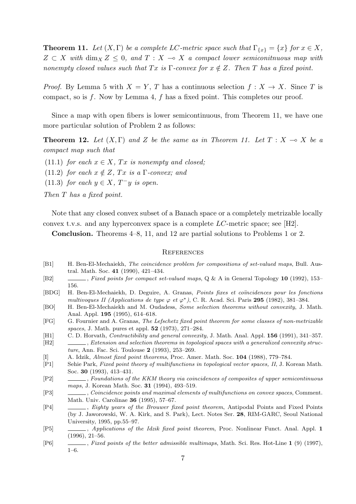**Theorem 11.** *Let*  $(X, \Gamma)$  *be a complete LC-metric space such that*  $\Gamma_{\{x\}} = \{x\}$  *for*  $x \in X$ *,*  $Z \subset X$  with  $\dim_X Z \leq 0$ , and  $T : X \to X$  a compact lower semiconitnuous map with *nonempty closed values such that*  $Tx$  *is*  $\Gamma$ *-convex for*  $x \notin Z$ *. Then*  $T$  *has a fixed point.* 

*Proof.* By Lemma 5 with  $X = Y$ , *T* has a continuous selection  $f: X \to X$ . Since *T* is compact, so is *f*. Now by Lemma 4, *f* has a fixed point. This completes our proof.

Since a map with open fibers is lower semicontinuous, from Theorem 11, we have one more particular solution of Problem 2 as follows:

**Theorem 12.** Let  $(X, \Gamma)$  and Z be the same as in Theorem 11. Let  $T : X \to X$  be a *compact map such that*

- (11.1) *for each*  $x \in X$ *, Tx is nonempty and closed;*
- (11.2) *for each*  $x \notin Z$ ,  $Tx$  *is a*  $\Gamma$ *-convex; and*
- (11.3) *for each*  $y \in X$ ,  $T^-y$  *is open.*

*Then T has a fixed point.*

Note that any closed convex subset of a Banach space or a completely metrizable locally convex t.v.s. and any hyperconvex space is a complete *LC*-metric space; see [H2].

**Conclusion.** Theorems 4–8, 11, and 12 are partial solutions to Problems 1 or 2.

## **REFERENCES**

- [B1] H. Ben-El-Mechaiekh, *The coincidence problem for compositions of set-valued maps*, Bull. Austral. Math. Soc. **41** (1990), 421–434.
- [B2] , *Fixed points for compact set-valued maps*, Q & A in General Topology **10** (1992), 153– 156.
- [BDG] H. Ben-El-Mechaiekh, D. Deguire, A. Granas, *Points fixes et co¨ıncidences pour les fonctions multivoques II (Applications de type*  $\varphi$  *et*  $\varphi^*$ ), C. R. Acad. Sci. Paris **295** (1982), 381–384.
- [BO] H. Ben-El-Mechaiekh and M. Oudadess, *Some selection theorems without convexity*, J. Math. Anal. Appl. **195** (1995), 614–618.
- [FG] G. Fournier and A. Granas, *The Lefschetz fixed point theorem for some classes of non-metrizable spaces*, J. Math. pures et appl. **52** (1973), 271–284.
- [H1] C. D. Horvath, *Contractibility and general convexity*, J. Math. Anal. Appl. **156** (1991), 341–357.
- [H2] , *Extension and selection theorems in topological spaces with a generalized convexity structure*, Ann. Fac. Sci. Toulouse **2** (1993), 253–269.
- [I] A. Idzik, *Almost fixed point theorems*, Proc. Amer. Math. Soc. **104** (1988), 779–784.
- [P1] Sehie Park, *Fixed point theory of multifunctions in topological vector spaces, II*, J. Korean Math. Soc. **30** (1993), 413–431.
- [P2] , *Foundations of the KKM theory via coincidences of composites of upper semicontinuous maps*, J. Korean Math. Soc. **31** (1994), 493–519.
- [P3] , *Coincidence points and maximal elements of multifunctions on convex spaces*, Comment. Math. Univ. Carolinae **36** (1995), 57–67.
- [P4] , *Eighty years of the Brouwer fixed point theorem*, Antipodal Points and Fixed Points (by J. Jaworowski, W. A. Kirk, and S. Park), Lect. Notes Ser. **28**, RIM-GARC, Seoul National University, 1995, pp.55–97.
- [P5] , *Applications of the Idzik fixed point theorem*, Proc. Nonlinear Funct. Anal. Appl. **1** (1996), 21–56.
- [P6] , *Fixed points of the better admissible multimaps*, Math. Sci. Res. Hot-Line **1** (9) (1997), 1–6.